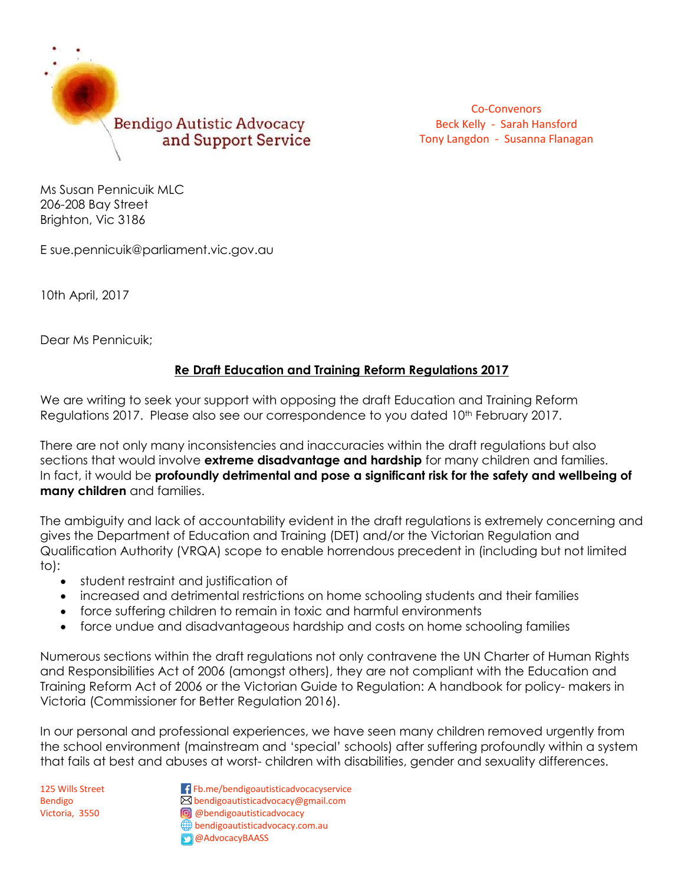

Co-Convenors Beck Kelly - Sarah Hansford Tony Langdon - Susanna Flanagan

Ms Susan Pennicuik MLC 206-208 Bay Street Brighton, Vic 3186

E sue.pennicuik@parliament.vic.gov.au

10th April, 2017

Dear Ms Pennicuik;

## **Re Draft Education and Training Reform Regulations 2017**

We are writing to seek your support with opposing the draft Education and Training Reform Regulations 2017. Please also see our correspondence to you dated 10<sup>th</sup> February 2017.

There are not only many inconsistencies and inaccuracies within the draft regulations but also sections that would involve **extreme disadvantage and hardship** for many children and families. In fact, it would be **profoundly detrimental and pose a significant risk for the safety and wellbeing of many children** and families.

The ambiguity and lack of accountability evident in the draft regulations is extremely concerning and gives the Department of Education and Training (DET) and/or the Victorian Regulation and Qualification Authority (VRQA) scope to enable horrendous precedent in (including but not limited to):

- student restraint and justification of
- increased and detrimental restrictions on home schooling students and their families
- force suffering children to remain in toxic and harmful environments
- force undue and disadvantageous hardship and costs on home schooling families

Numerous sections within the draft regulations not only contravene the UN Charter of Human Rights and Responsibilities Act of 2006 (amongst others), they are not compliant with the Education and Training Reform Act of 2006 or the Victorian Guide to Regulation: A handbook for policy- makers in Victoria (Commissioner for Better Regulation 2016).

In our personal and professional experiences, we have seen many children removed urgently from the school environment (mainstream and 'special' schools) after suffering profoundly within a system that fails at best and abuses at worst- children with disabilities, gender and sexuality differences.

125 Wills Street Fb.me/bendigoautisticadvocacyservice Bendigo **bendigoautisticadvocacy@gmail.com** Victoria, 3550 **a**bendigoautisticadvocacy bendigoautisticadvocacy.com.au **C** @AdvocacyBAASS